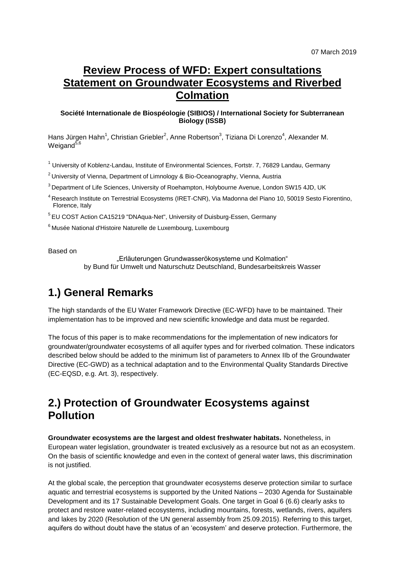## **Review Process of WFD: Expert consultations Statement on Groundwater Ecosystems and Riverbed Colmation**

#### **Société Internationale de Biospéologie (SIBIOS) / International Society for Subterranean Biology (ISSB)**

Hans Jürgen Hahn<sup>1</sup>, Christian Griebler<sup>2</sup>, Anne Robertson<sup>3</sup>, Tiziana Di Lorenzo<sup>4</sup>, Alexander M. Weigand $5,6$ 

<sup>1</sup> University of Koblenz-Landau, Institute of Environmental Sciences, Fortstr. 7, 76829 Landau, Germany

 $2$  University of Vienna, Department of Limnology & Bio-Oceanography, Vienna, Austria

<sup>3</sup> Department of Life Sciences, University of Roehampton, Holybourne Avenue, London SW15 4JD, UK

<sup>4</sup> Research Institute on Terrestrial Ecosystems (IRET-CNR), Via Madonna del Piano 10, 50019 Sesto Fiorentino, Florence, Italy

<sup>5</sup> EU COST Action CA15219 "DNAqua-Net", University of Duisburg-Essen, Germany

<sup>6</sup> Musée National d'Histoire Naturelle de Luxembourg, Luxembourg

Based on

"Erläuterungen Grundwasserökosysteme und Kolmation" by Bund für Umwelt und Naturschutz Deutschland, Bundesarbeitskreis Wasser

## **1.) General Remarks**

The high standards of the EU Water Framework Directive (EC-WFD) have to be maintained. Their implementation has to be improved and new scientific knowledge and data must be regarded.

The focus of this paper is to make recommendations for the implementation of new indicators for groundwater/groundwater ecosystems of all aquifer types and for riverbed colmation. These indicators described below should be added to the minimum list of parameters to Annex IIb of the Groundwater Directive (EC-GWD) as a technical adaptation and to the Environmental Quality Standards Directive (EC-EQSD, e.g. Art. 3), respectively.

### **2.) Protection of Groundwater Ecosystems against Pollution**

**Groundwater ecosystems are the largest and oldest freshwater habitats.** Nonetheless, in European water legislation, groundwater is treated exclusively as a resource but not as an ecosystem. On the basis of scientific knowledge and even in the context of general water laws, this discrimination is not justified.

At the global scale, the perception that groundwater ecosystems deserve protection similar to surface aquatic and terrestrial ecosystems is supported by the United Nations – 2030 Agenda for Sustainable Development and its 17 Sustainable Development Goals. One target in Goal 6 (6.6) clearly asks to protect and restore water-related ecosystems, including mountains, forests, wetlands, rivers, aquifers and lakes by 2020 (Resolution of the UN general assembly from 25.09.2015). Referring to this target, aquifers do without doubt have the status of an 'ecosystem' and deserve protection. Furthermore, the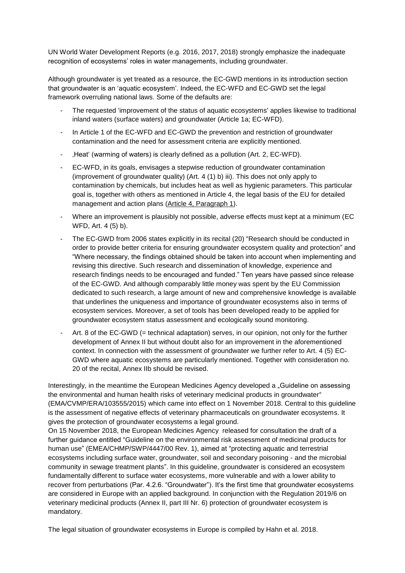UN World Water Development Reports (e.g. 2016, 2017, 2018) strongly emphasize the inadequate recognition of ecosystems' roles in water managements, including groundwater.

Although groundwater is yet treated as a resource, the EC-GWD mentions in its introduction section that groundwater is an 'aquatic ecosystem'. Indeed, the EC-WFD and EC-GWD set the legal framework overruling national laws. Some of the defaults are:

- The requested 'improvement of the status of aquatic ecosystems' applies likewise to traditional inland waters (surface waters) and groundwater (Article 1a; EC-WFD).
- In Article 1 of the EC-WFD and EC-GWD the prevention and restriction of groundwater contamination and the need for assessment criteria are explicitly mentioned.
- 'Heat' (warming of waters) is clearly defined as a pollution (Art. 2, EC-WFD).
- EC-WFD, in its goals, envisages a stepwise reduction of groundwater contamination (improvement of groundwater quality) (Art. 4 (1) b) iii). This does not only apply to contamination by chemicals, but includes heat as well as hygienic parameters. This particular goal is, together with others as mentioned in Article 4, the legal basis of the EU for detailed management and action plans (Article 4, Paragraph 1).
- Where an improvement is plausibly not possible, adverse effects must kept at a minimum (EC WFD, Art. 4 (5) b).
- The EC-GWD from 2006 states explicitly in its recital (20) "Research should be conducted in order to provide better criteria for ensuring groundwater ecosystem quality and protection" and "Where necessary, the findings obtained should be taken into account when implementing and revising this directive. Such research and dissemination of knowledge, experience and research findings needs to be encouraged and funded." Ten years have passed since release of the EC-GWD. And although comparably little money was spent by the EU Commission dedicated to such research, a large amount of new and comprehensive knowledge is available that underlines the uniqueness and importance of groundwater ecosystems also in terms of ecosystem services. Moreover, a set of tools has been developed ready to be applied for groundwater ecosystem status assessment and ecologically sound monitoring.
- Art. 8 of the EC-GWD (= technical adaptation) serves, in our opinion, not only for the further development of Annex II but without doubt also for an improvement in the aforementioned context. In connection with the assessment of groundwater we further refer to Art. 4 (5) EC-GWD where aquatic ecosystems are particularly mentioned. Together with consideration no. 20 of the recital, Annex IIb should be revised.

Interestingly, in the meantime the European Medicines Agency developed a "Guideline on assessing the environmental and human health risks of veterinary medicinal products in groundwater" (EMA/CVMP/ERA/103555/2015) which came into effect on 1 November 2018. Central to this guideline is the assessment of negative effects of veterinary pharmaceuticals on groundwater ecosystems. It gives the protection of groundwater ecosystems a legal ground.

On 15 November 2018, the European Medicines Agency released for consultation the draft of a further guidance entitled "Guideline on the environmental risk assessment of medicinal products for human use" (EMEA/CHMP/SWP/4447/00 Rev. 1), aimed at "protecting aquatic and terrestrial ecosystems including surface water, groundwater, soil and secondary poisoning - and the microbial community in sewage treatment plants". In this guideline, groundwater is considered an ecosystem fundamentally different to surface water ecosystems, more vulnerable and with a lower ability to recover from perturbations (Par. 4.2.6. "Groundwater"). It's the first time that groundwater ecosystems are considered in Europe with an applied background. In conjunction with the Regulation 2019/6 on veterinary medicinal products (Annex II, part III Nr. 6) protection of groundwater ecosystem is mandatory.

The legal situation of groundwater ecosystems in Europe is compiled by Hahn et al. 2018.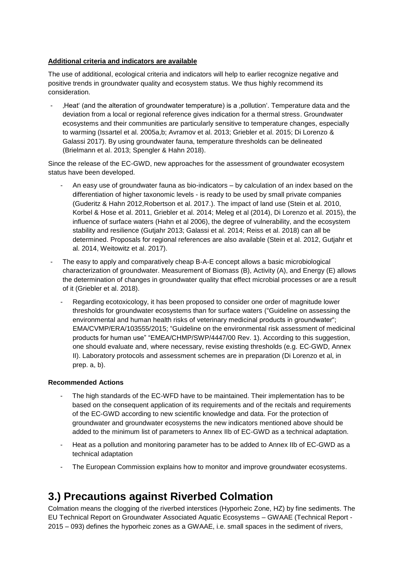#### **Additional criteria and indicators are available**

The use of additional, ecological criteria and indicators will help to earlier recognize negative and positive trends in groundwater quality and ecosystem status. We thus highly recommend its consideration.

- 'Heat' (and the alteration of groundwater temperature) is a 'pollution'. Temperature data and the deviation from a local or regional reference gives indication for a thermal stress. Groundwater ecosystems and their communities are particularly sensitive to temperature changes, especially to warming (Issartel et al. 2005a,b; Avramov et al. 2013; Griebler et al. 2015; Di Lorenzo & Galassi 2017). By using groundwater fauna, temperature thresholds can be delineated (Brielmann et al. 2013; Spengler & Hahn 2018).

Since the release of the EC-GWD, new approaches for the assessment of groundwater ecosystem status have been developed.

- An easy use of groundwater fauna as bio-indicators by calculation of an index based on the differentiation of higher taxonomic levels - is ready to be used by small private companies (Guderitz & Hahn 2012,Robertson et al. 2017.). The impact of land use (Stein et al. 2010, Korbel & Hose et al. 2011, Griebler et al. 2014; Meleg et al (2014), Di Lorenzo et al. 2015), the influence of surface waters (Hahn et al 2006), the degree of vulnerability, and the ecosystem stability and resilience (Gutjahr 2013; Galassi et al. 2014; Reiss et al. 2018) can all be determined. Proposals for regional references are also available (Stein et al. 2012, Gutjahr et al. 2014, Weitowitz et al. 2017).
- The easy to apply and comparatively cheap B-A-E concept allows a basic microbiological characterization of groundwater. Measurement of Biomass (B), Activity (A), and Energy (E) allows the determination of changes in groundwater quality that effect microbial processes or are a result of it (Griebler et al. 2018).
	- Regarding ecotoxicology, it has been proposed to consider one order of magnitude lower thresholds for groundwater ecosystems than for surface waters ("Guideline on assessing the environmental and human health risks of veterinary medicinal products in groundwater"; EMA/CVMP/ERA/103555/2015; "Guideline on the environmental risk assessment of medicinal products for human use" "EMEA/CHMP/SWP/4447/00 Rev. 1). According to this suggestion, one should evaluate and, where necessary, revise existing thresholds (e.g. EC-GWD, Annex II). Laboratory protocols and assessment schemes are in preparation (Di Lorenzo et al, in prep. a, b).

#### **Recommended Actions**

- The high standards of the EC-WFD have to be maintained. Their implementation has to be based on the consequent application of its requirements and of the recitals and requirements of the EC-GWD according to new scientific knowledge and data. For the protection of groundwater and groundwater ecosystems the new indicators mentioned above should be added to the minimum list of parameters to Annex IIb of EC-GWD as a technical adaptation.
- Heat as a pollution and monitoring parameter has to be added to Annex IIb of EC-GWD as a technical adaptation
- The European Commission explains how to monitor and improve groundwater ecosystems.

# **3.) Precautions against Riverbed Colmation**

Colmation means the clogging of the riverbed interstices (Hyporheic Zone, HZ) by fine sediments. The EU Technical Report on Groundwater Associated Aquatic Ecosystems – GWAAE (Technical Report - 2015 – 093) defines the hyporheic zones as a GWAAE, i.e. small spaces in the sediment of rivers,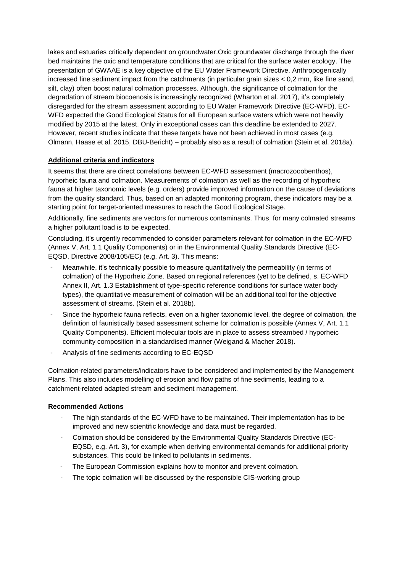lakes and estuaries critically dependent on groundwater.Oxic groundwater discharge through the river bed maintains the oxic and temperature conditions that are critical for the surface water ecology. The presentation of GWAAE is a key objective of the EU Water Framework Directive. Anthropogenically increased fine sediment impact from the catchments (in particular grain sizes < 0,2 mm, like fine sand, silt, clay) often boost natural colmation processes. Although, the significance of colmation for the degradation of stream biocoenosis is increasingly recognized (Wharton et al. 2017), it's completely disregarded for the stream assessment according to EU Water Framework Directive (EC-WFD). EC-WFD expected the Good Ecological Status for all European surface waters which were not heavily modified by 2015 at the latest. Only in exceptional cases can this deadline be extended to 2027. However, recent studies indicate that these targets have not been achieved in most cases (e.g. Ölmann, Haase et al. 2015, DBU-Bericht) – probably also as a result of colmation (Stein et al. 2018a).

#### **Additional criteria and indicators**

It seems that there are direct correlations between EC-WFD assessment (macrozooobenthos), hyporheic fauna and colmation. Measurements of colmation as well as the recording of hyporheic fauna at higher taxonomic levels (e.g. orders) provide improved information on the cause of deviations from the quality standard. Thus, based on an adapted monitoring program, these indicators may be a starting point for target-oriented measures to reach the Good Ecological Stage.

Additionally, fine sediments are vectors for numerous contaminants. Thus, for many colmated streams a higher pollutant load is to be expected.

Concluding, it's urgently recommended to consider parameters relevant for colmation in the EC-WFD (Annex V, Art. 1.1 Quality Components) or in the Environmental Quality Standards Directive (EC-EQSD, Directive 2008/105/EC) (e.g. Art. 3). This means:

- Meanwhile, it's technically possible to measure quantitatively the permeability (in terms of colmation) of the Hyporheic Zone. Based on regional references (yet to be defined, s. EC-WFD Annex II, Art. 1.3 Establishment of type-specific reference conditions for surface water body types), the quantitative measurement of colmation will be an additional tool for the objective assessment of streams. (Stein et al. 2018b).
- Since the hyporheic fauna reflects, even on a higher taxonomic level, the degree of colmation, the definition of faunistically based assessment scheme for colmation is possible (Annex V, Art. 1.1 Quality Components). Efficient molecular tools are in place to assess streambed / hyporheic community composition in a standardised manner (Weigand & Macher 2018).
- Analysis of fine sediments according to EC-EQSD

Colmation-related parameters/indicators have to be considered and implemented by the Management Plans. This also includes modelling of erosion and flow paths of fine sediments, leading to a catchment-related adapted stream and sediment management.

#### **Recommended Actions**

- The high standards of the EC-WFD have to be maintained. Their implementation has to be improved and new scientific knowledge and data must be regarded.
- Colmation should be considered by the Environmental Quality Standards Directive (EC-EQSD, e.g. Art. 3), for example when deriving environmental demands for additional priority substances. This could be linked to pollutants in sediments.
- The European Commission explains how to monitor and prevent colmation.
- The topic colmation will be discussed by the responsible CIS-working group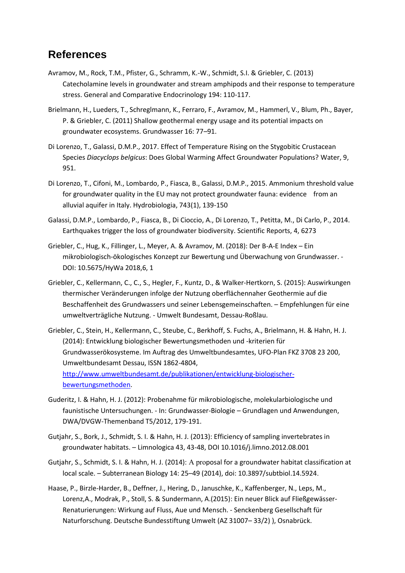### **References**

- Avramov, M., Rock, T.M., Pfister, G., Schramm, K.-W., Schmidt, S.I. & Griebler, C. (2013) Catecholamine levels in groundwater and stream amphipods and their response to temperature stress. General and Comparative Endocrinology 194: 110-117.
- Brielmann, H., Lueders, T., Schreglmann, K., Ferraro, F., Avramov, M., Hammerl, V., Blum, Ph., Bayer, P. & Griebler, C. (2011) Shallow geothermal energy usage and its potential impacts on groundwater ecosystems. Grundwasser 16: 77–91.
- Di Lorenzo, T., Galassi, D.M.P., 2017. Effect of Temperature Rising on the Stygobitic Crustacean Species *Diacyclops belgicus*: Does Global Warming Affect Groundwater Populations? Water, 9, 951.
- Di Lorenzo, T., Cifoni, M., Lombardo, P., Fiasca, B., Galassi, D.M.P., 2015. Ammonium threshold value for groundwater quality in the EU may not protect groundwater fauna: evidence from an alluvial aquifer in Italy. Hydrobiologia, 743(1), 139-150
- Galassi, D.M.P., Lombardo, P., Fiasca, B., Di Cioccio, A., Di Lorenzo, T., Petitta, M., Di Carlo, P., 2014. Earthquakes trigger the loss of groundwater biodiversity. Scientific Reports, 4, 6273
- Griebler, C., Hug, K., Fillinger, L., Meyer, A. & Avramov, M. (2018): Der B-A-E Index Ein mikrobiologisch-ökologisches Konzept zur Bewertung und Überwachung von Grundwasser. - DOI: 10.5675/HyWa 2018,6, 1
- Griebler, C., Kellermann, C., C., S., Hegler, F., Kuntz, D., & Walker-Hertkorn, S. (2015): Auswirkungen thermischer Veränderungen infolge der Nutzung oberflächennaher Geothermie auf die Beschaffenheit des Grundwassers und seiner Lebensgemeinschaften. – Empfehlungen für eine umweltverträgliche Nutzung. - Umwelt Bundesamt, Dessau-Roßlau.
- Griebler, C., Stein, H., Kellermann, C., Steube, C., Berkhoff, S. Fuchs, A., Brielmann, H. & Hahn, H. J. (2014): Entwicklung biologischer Bewertungsmethoden und -kriterien für Grundwasserökosysteme. Im Auftrag des Umweltbundesamtes, UFO-Plan FKZ 3708 23 200, Umweltbundesamt Dessau, ISSN 1862-4804, [http://www.umweltbundesamt.de/publikationen/entwicklung-biologischer](http://www.umweltbundesamt.de/publikationen/entwicklung-biologischer-bewertungsmethoden)[bewertungsmethoden.](http://www.umweltbundesamt.de/publikationen/entwicklung-biologischer-bewertungsmethoden)
- Guderitz, I. & Hahn, H. J. (2012): Probenahme für mikrobiologische, molekularbiologische und faunistische Untersuchungen. - In: Grundwasser-Biologie – Grundlagen und Anwendungen, DWA/DVGW-Themenband T5/2012, 179-191.
- Gutjahr, S., Bork, J., Schmidt, S. I. & Hahn, H. J. (2013): Efficiency of sampling invertebrates in groundwater habitats. – Limnologica 43, 43-48, DOI 10.1016/j.limno.2012.08.001
- Gutjahr, S., Schmidt, S. I. & Hahn, H. J. (2014): A proposal for a groundwater habitat classification at local scale. – Subterranean Biology 14: 25–49 (2014), doi: 10.3897/subtbiol.14.5924.
- Haase, P., Birzle-Harder, B., Deffner, J., Hering, D., Januschke, K., Kaffenberger, N., Leps, M., Lorenz,A., Modrak, P., Stoll, S. & Sundermann, A.(2015): Ein neuer Blick auf Fließgewässer-Renaturierungen: Wirkung auf Fluss, Aue und Mensch. - Senckenberg Gesellschaft für Naturforschung. Deutsche Bundesstiftung Umwelt (AZ 31007– 33/2) ), Osnabrück.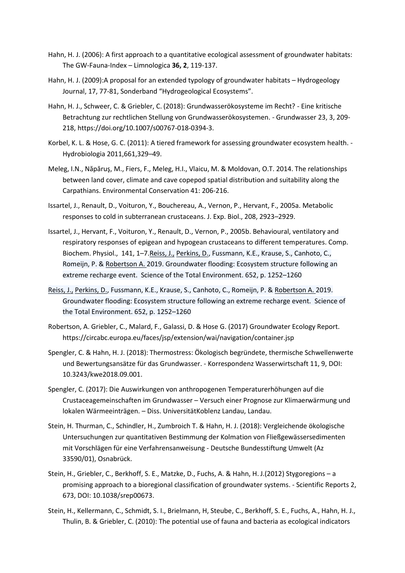- Hahn, H. J. (2006): A first approach to a quantitative ecological assessment of groundwater habitats: The GW-Fauna-Index – Limnologica **36, 2**, 119-137.
- Hahn, H. J. (2009):A proposal for an extended typology of groundwater habitats Hydrogeology Journal, 17, 77-81, Sonderband "Hydrogeological Ecosystems".
- Hahn, H. J., Schweer, C. & Griebler, C. (2018): Grundwasserökosysteme im Recht? Eine kritische Betrachtung zur rechtlichen Stellung von Grundwasserökosystemen. - Grundwasser 23, 3, 209- 218, https://doi.org/10.1007/s00767-018-0394-3.
- Korbel, K. L. & Hose, G. C. (2011): A tiered framework for assessing groundwater ecosystem health. Hydrobiologia 2011,661,329–49.
- Meleg, I.N., Năpăruş, M., Fiers, F., Meleg, H.I., Vlaicu, M. & Moldovan, O.T. 2014. The relationships between land cover, climate and cave copepod spatial distribution and suitability along the Carpathians. Environmental Conservation 41: 206-216.
- Issartel, J., Renault, D., Voituron, Y., Bouchereau, A., Vernon, P., Hervant, F., 2005a. Metabolic responses to cold in subterranean crustaceans. J. Exp. Biol., 208, 2923–2929.
- Issartel, J., Hervant, F., Voituron, Y., Renault, D., Vernon, P., 2005b. Behavioural, ventilatory and respiratory responses of epigean and hypogean crustaceans to different temperatures. Comp. Biochem. Physiol., 141, 1–7.Reiss, J., [Perkins, D.,](javascript:void(0);) Fussmann, K.E., Krause, S., Canhoto, C., Romeijn, P. & Robertson A. 2019. Groundwater flooding: Ecosystem structure following an extreme recharge event. Science of the Total Environment. 652, p. 1252–1260
- Reiss, J., [Perkins, D.,](javascript:void(0);) Fussmann, K.E., Krause, S., Canhoto, C., Romeijn, P. & Robertson A. 2019. Groundwater flooding: Ecosystem structure following an extreme recharge event. Science of the Total Environment. 652, p. 1252–1260
- Robertson, A. Griebler, C., Malard, F., Galassi, D. & Hose G. (2017) Groundwater Ecology Report. https://circabc.europa.eu/faces/jsp/extension/wai/navigation/container.jsp
- Spengler, C. & Hahn, H. J. (2018): Thermostress: Ökologisch begründete, thermische Schwellenwerte und Bewertungsansätze für das Grundwasser. - Korrespondenz Wasserwirtschaft 11, 9, DOI: 10.3243/kwe2018.09.001.
- Spengler, C. (2017): Die Auswirkungen von anthropogenen Temperaturerhöhungen auf die Crustaceagemeinschaften im Grundwasser – Versuch einer Prognose zur Klimaerwärmung und lokalen Wärmeeinträgen. – Diss. UniversitätKoblenz Landau, Landau.
- Stein, H. Thurman, C., Schindler, H., Zumbroich T. & Hahn, H. J. (2018): Vergleichende ökologische Untersuchungen zur quantitativen Bestimmung der Kolmation von Fließgewässersedimenten mit Vorschlägen für eine Verfahrensanweisung - Deutsche Bundesstiftung Umwelt (Az 33590/01), Osnabrück.
- Stein, H., Griebler, C., Berkhoff, S. E., Matzke, D., Fuchs, A. & Hahn, H. J.(2012) Stygoregions a promising approach to a bioregional classification of groundwater systems. - Scientific Reports 2, 673, DOI: 10.1038/srep00673.
- Stein, H., Kellermann, C., Schmidt, S. I., Brielmann, H, Steube, C., Berkhoff, S. E., Fuchs, A., Hahn, H. J., Thulin, B. & Griebler, C. (2010): The potential use of fauna and bacteria as ecological indicators